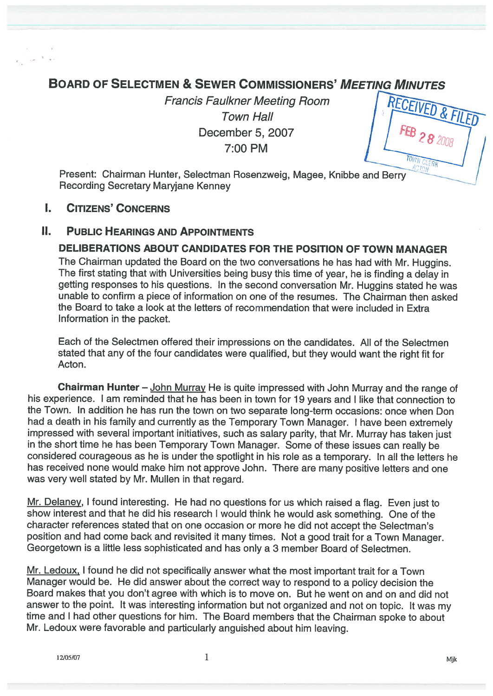# **BOARD OF SELECTMEN & SEWER COMMISSIONERS' MEETING MINUTES**

Francis Faulkner Meeting Room Town Hall December 5, 2007 7:00 PM

Present: Chairman Hunter, Selectman Rosenzweig, Magee, Knibbe and Berry Recording Secretary Maryjane Kenney

## I. CITIZENS' CONCERNS

## II. PuBLIc HEARINGS AND APPOINTMENTS

## DELIBERATIONS ABOUT CANDIDATES FOR THE POSITION OF TOWN MANAGER

The Chairman updated the Board on the two conversations he has had with Mr. Huggins. The first stating that with Universities being busy this time of year, he is finding a delay in getting responses to his questions. In the second conversation Mr. Huggins stated he was unable to confirm <sup>a</sup> piece of information on one of the resumes. The Chairman then asked the Board to take <sup>a</sup> look at the letters of recommendation that were included in Extra Information in the packet.

Each of the Selectmen offered their impressions on the candidates. All of the Selectmen stated that any of the four candidates were qualified, but they would want the right fit for Acton.

Chairman Hunter — John Murray He is quite impressed with John Murray and the range of his experience. <sup>I</sup> am reminded that he has been in town for 19 years and <sup>I</sup> like that connection to the Town. In addition he has run the town on two separate long-term occasions: once when Don had <sup>a</sup> death in his family and currently as the Temporary Town Manager. <sup>I</sup> have been extremely impressed with several important initiatives, such as salary parity, that Mr. Murray has taken just in the short time he has been Temporary Town Manager. Some of these issues can really be considered courageous as he is under the spotlight in his role as <sup>a</sup> temporary. In all the letters he has received none would make him not approve John. There are many positive letters and one was very well stated by Mr. Mullen in that regard.

Mr. Delaney, <sup>I</sup> found interesting. He had no questions for us which raised <sup>a</sup> flag. Even just to show interest and that he did his research <sup>I</sup> would think he would ask something. One of the character references stated that on one occasion or more he did not accept the Selectman's position and had come back and revisited it many times. Not <sup>a</sup> goo<sup>d</sup> trait for <sup>a</sup> Town Manager. Georgetown is <sup>a</sup> little less sophisticated and has only <sup>a</sup> 3 member Board of Selectmen.

Mr. Ledoux, I found he did not specifically answer what the most important trait for a Town Manager would be. He did answer about the correct way to respond to <sup>a</sup> policy decision the Board makes that you don't agree with which is to move on. But he went on and on and did not answer to the point. It was interesting information but not organized and not on topic. It was my time and <sup>I</sup> had other questions for him. The Board members that the Chairman spoke to about Mr. Ledoux were favorable and particularly anguished about him leaving.

 $1$  Mjk

RECEIVED &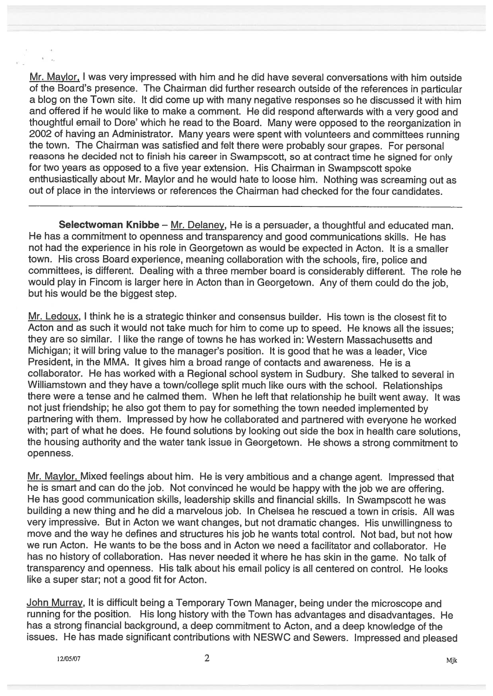Mr. Maylor, I was very impressed with him and he did have several conversations with him outside of the Board's presence. The Chairman did further research outside of the references in particular <sup>a</sup> blog on the Town site. It did come up with many negative responses so he discussed it with him and offered if he would like to make <sup>a</sup> comment. He did respon<sup>d</sup> afterwards with <sup>a</sup> very goo<sup>d</sup> and thoughtful email to Dore' which he read to the Board. Many were oppose<sup>d</sup> to the reorganization in <sup>2002</sup> of having an Administrator. Many years were spen<sup>t</sup> with volunteers and committees running the town. The Chairman was satisfied and felt there were probably sour grapes. For persona<sup>l</sup> reasons he decided not to finish his career in Swampscott, so at contract time he signed for only for two years as opposed to <sup>a</sup> five year extension. His Chairman in Swampscoff spoke enthusiastically about Mr. Maylor and he would hate to loose him. Nothing was screaming out as out of place in the interviews or references the Chairman had checked for the tour candidates.

Selectwoman Knibbe – Mr. Delaney, He is a persuader, a thoughtful and educated man. He has <sup>a</sup> commitment to openness and transparency and good communications skills. He has not had the experience in his role in Georgetown as would be expected in Acton. It is <sup>a</sup> smaller town. His cross Board experience, meaning collaboration with the schools, fire, police and committees, is different. Dealing with <sup>a</sup> three member board is considerably different. The role he would <sup>p</sup>lay in Fincom is larger here in Acton than in Georgetown. Any of them could do the job, but his would be the biggest step.

Mr. Ledoux, I think he is <sup>a</sup> strategic thinker and consensus builder. His town is the closest fit to Acton and as such it would not take much for him to come up to speed. He knows all the issues; they are so similar. I like the range of towns he has worked in: Western Massachusetts and Michigan; it will bring value to the manager's position. It is goo<sup>d</sup> that he was <sup>a</sup> leader, Vice President, in the MMA. It gives him <sup>a</sup> broad range of contacts and awareness. He is <sup>a</sup> collaborator. He has worked with <sup>a</sup> Regional school system in Sudbury. She talked to several in Williamstown and they have <sup>a</sup> town/college split much like ours with the school. Relationships there were <sup>a</sup> tense and he calmed them. When he left that relationship he built went away. It was not just friendship; he also go<sup>t</sup> them to pay for something the town needed implemented by partnering with them. Impressed by how he collaborated and partnered with everyone he worked with; par<sup>t</sup> of what he does. He found solutions by looking out side the box in health care solutions, the housing authority and the water tank issue in Georgetown. He shows <sup>a</sup> strong commitment to openness.

Mr. Maylor, Mixed feelings about him. He is very ambitious and <sup>a</sup> change agent. Impressed that he is smart and can do the job. Not convinced he would be happy with the job we are offering. He has goo<sup>d</sup> communication skills, leadership skills and financial skills. In Swampscoff he was building <sup>a</sup> new thing and he did <sup>a</sup> marvelous job. In Chelsea he rescued <sup>a</sup> town in crisis. All was very impressive. But in Acton we want changes, but not dramatic changes. His unwillingness to move and the way he defines and structures his job he wants total control. Not bad, but not how we run Acton. He wants to be the boss and in Acton we need <sup>a</sup> facilitator and collaborator. He has no history of collaboration. Has never needed it where he has skin in the game. No talk of transparency and openness. His talk about his email policy is all centered on control. He looks like <sup>a</sup> super star; not <sup>a</sup> good fit for Acton.

John Murray, It is difficult being <sup>a</sup> Temporary Town Manager, being under the microscope and running for the position. His long history with the Town has advantages and disadvantages. He has <sup>a</sup> strong financial background, <sup>a</sup> deep commitment to Acton, and <sup>a</sup> deep knowledge of the issues. He has made significant contributions with NESWC and Sewers. Impressed and <sup>p</sup>leased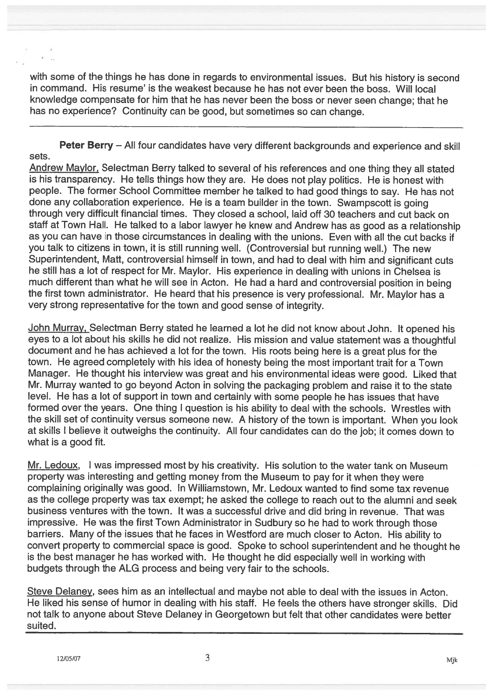with some of the things he has done in regards to environmental issues. But his history is second in command. His resume' is the weakest because he has not ever been the boss. Will local knowledge compensate for him that he has never been the boss or never seen change; that he has no experience? Continuity can be good, but sometimes so can change.

Peter Berry – All four candidates have very different backgrounds and experience and skill sets.

Andrew Maylor, Selectman Berry talked to several of his references and one thing they all stated is his transparency. He tells things how they are. He does not <sup>p</sup>lay politics. He is honest with people. The former School Committee member he talked to had goo<sup>d</sup> things to say. He has not done any collaboration experience. He is <sup>a</sup> team builder in the town. Swampscott is going through very difficult financial times. They closed <sup>a</sup> school, laid off 30 teachers and cut back on staff at Town Hall. He talked to <sup>a</sup> labor lawyer he knew and Andrew has as goo<sup>d</sup> as <sup>a</sup> relationship as you can have in those circumstances in dealing with the unions. Even with all the cut backs if you talk to citizens in town, it is still running well. (Controversial but running well.) The new Superintendent, Matt, controversial himself in town, and had to deal with him and significant cuts he still has <sup>a</sup> lot of respec<sup>t</sup> for Mr. Maylor. His experience in dealing with unions in Chelsea is much different than what he will see in Acton. He had <sup>a</sup> hard and controversial position in being the first town administrator. He heard that his presence is very professional. Mr. Maylor has <sup>a</sup> very strong representative for the town and good sense of integrity.

John Murray, Selectman Berry stated he learned <sup>a</sup> lot he did not know about John. It opene<sup>d</sup> his eyes to <sup>a</sup> lot about his skills he did not realize. His mission and value statement was <sup>a</sup> thoughtful document and he has achieved <sup>a</sup> lot for the town. His roots being here is <sup>a</sup> grea<sup>t</sup> <sup>p</sup>lus for the town. He agreed completely with his idea of honesty being the most important trait for <sup>a</sup> Town Manager. He thought his interview was grea<sup>t</sup> and his environmental ideas were good. Liked that Mr. Murray wanted to go beyond Acton in solving the packaging problem and raise it to the state level. He has <sup>a</sup> lot of suppor<sup>t</sup> in town and certainly with some people he has issues that have formed over the years. One thing <sup>I</sup> question is his ability to deal with the schools. Wrestles with the skill set of continuity versus someone new. <sup>A</sup> history of the town is important. When you look at skills <sup>I</sup> believe it outweighs the continuity. All four candidates can do the job; it comes down to what is <sup>a</sup> good fit.

Mr. Ledoux, I was impressed most by his creativity. His solution to the water tank on Museum property was interesting and getting money from the Museum to pay for it when they were complaining originally was good. In Williamstown, Mr. Ledoux wanted to find some tax revenue as the college property was tax exempt; he asked the college to reach out to the alumni and seek business ventures with the town. It was <sup>a</sup> successful drive and did bring in revenue. That was impressive. He was the first Town Administrator in Sudbury so he had to work through those barriers. Many of the issues that he faces in Wesiford are much closer to Acton. His ability to convert property to commercial space is good. Spoke to school superintendent and he thought he is the best manager he has worked with. He thought he did especially well in working with budgets through the ALG process and being very fair to the schools.

Steve Delaney, sees him as an intellectual and maybe not able to deal with the issues in Acton. He liked his sense of humor in dealing with his staff. He feels the others have stronger skills. Did not talk to anyone about Steve Delaney in Georgetown but felt that other candidates were better suited.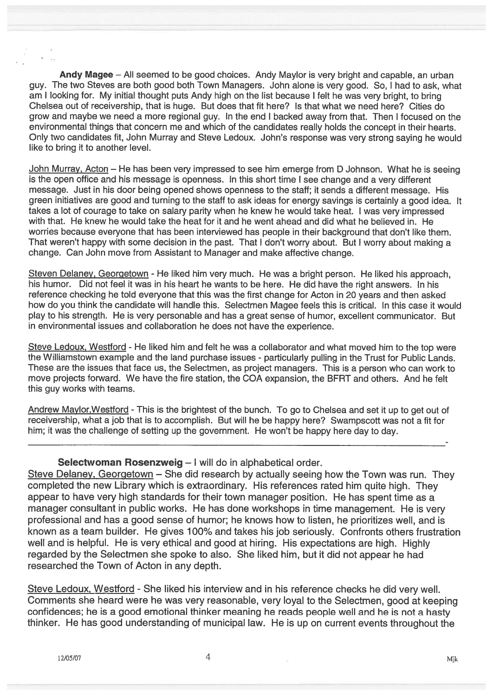Andy Magee – All seemed to be good choices. Andy Maylor is very bright and capable, an urban guy. The two Steves are both good both Town Managers. John alone is very good. So, <sup>I</sup> had to ask, what am <sup>I</sup> looking for. My initial thought puts Andy high on the list because <sup>I</sup> felt he was very bright, to bring Chelsea out of receivership, that is huge. But does that fit here? Is that what we need here? Cities do grow and maybe we need <sup>a</sup> more regional guy. In the end <sup>I</sup> backed away from that. Then <sup>I</sup> focused on the environmental things that concern me and which of the candidates really holds the concep<sup>t</sup> in their hearts. Only two candidates fit, John Murray and Steve Ledoux. John's response was very strong saying he would like to bring it to another level.

John Murray, Acton — He has been very impressed to see him emerge from <sup>D</sup> Johnson. What he is seeing is the open office and his message is openness. In this short time <sup>I</sup> see change and <sup>a</sup> very different message. Just in his door being opened shows openness to the staff; it sends <sup>a</sup> different message. His green initiatives are good and turning to the staff to ask ideas for energy savings is certainly <sup>a</sup> good idea, It takes <sup>a</sup> lot of courage to take on salary parity when he knew he would take heat. <sup>I</sup> was very impressed with that. He knew he would take the heat for it and he went ahead and did what he believed in. He worries because everyone that has been interviewed has people in their background that don't like them. That weren't happy with some decision in the past. That <sup>I</sup> don't worry about. But <sup>I</sup> worry about making <sup>a</sup> change. Can John move from Assistant to Manager and make affective change.

Steven Delaney, Georgetown - He liked him very much. He was <sup>a</sup> bright person. He liked his approach, his humor. Did not feel it was in his heart he wants to be here. He did have the right answers. In his reference checking he told everyone that this was the first change for Acton in 20 years and then asked how do you think the candidate will handle this. Selectmen Magee feels this is critical. In this case it would play to his strength. He is very personable and has <sup>a</sup> grea<sup>t</sup> sense of humor, excellent communicator. But in environmental issues and collaboration he does not have the experience.

Steve Ledoux, Westford - He liked him and felt he was a collaborator and what moved him to the top were the Williamstown example and the land purchase issues - particularly pulling in the Trust for Public Lands. These are the issues that face us, the Selectmen, as project managers. This is <sup>a</sup> person who can work to move projects forward. We have the fire station, the COA expansion, the BFRT and others. And he felt this guy works with teams.

Andrew Maylor, Westford - This is the brightest of the bunch. To go to Chelsea and set it up to get out of receivership, what <sup>a</sup> job that is to accomplish. But will he be happy here? Swampscott was not <sup>a</sup> fit for him; it was the challenge of setting up the government. He won't be happy here day to day.

#### Selectwoman Rosenzweig - I will do in alphabetical order.

Steve Delaney, Georgetown — She did research by actually seeing how the Town was run. They completed the new Library which is extraordinary. His references rated him quite high. They appear to have very high standards for their town manager position. He has spen<sup>t</sup> time as <sup>a</sup> manager consultant in public works. He has done workshops in time management. He is very professional and has <sup>a</sup> good sense of humor; he knows how to listen, he prioritizes well, and is known as <sup>a</sup> team builder. He gives 100% and takes his job seriously. Confronts others frustration well and is helpful. He is very ethical and good at hiring. His expectations are high. Highly regarded by the Selectmen she spoke to also. She liked him, but it did not appear he had researched the Town of Acton in any depth.

Steve Ledoux, Westford - She liked his interview and in his reference checks he did very well. Comments she heard were he was very reasonable, very loyal to the Selectmen, good at keeping confidences; he is <sup>a</sup> good emotional thinker meaning he reads people well and he is not <sup>a</sup> hasty thinker. He has good understanding of municipal law. He is up on current events throughout the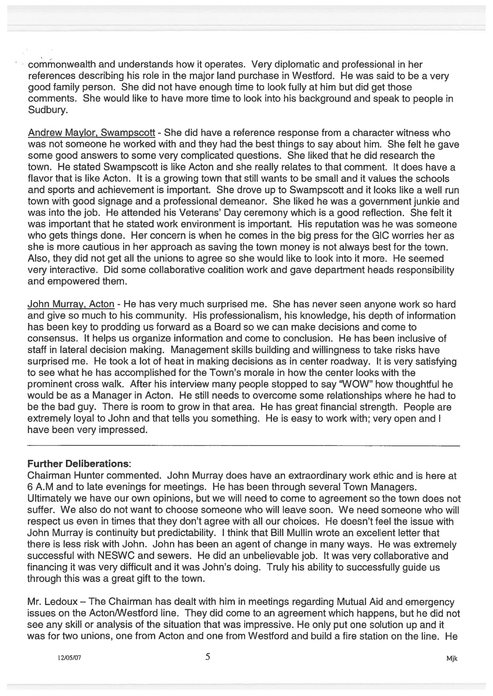cornrnonweaIth and understands how it operates. Very diplomatic and professional in her references describing his role in the major land purchase in Westford. He was said to be a very good family person. She did not have enough time to look fully at him but did ge<sup>t</sup> those comments. She would like to have more time to look into his background and speak to people in Sudbury.

Andrew Maylor, Swampscoff - She did have <sup>a</sup> reference response from <sup>a</sup> character witness who was not someone he worked with and they had the best things to say about him. She felt he gave some good answers to some very complicated questions. She liked that he did research the town. He stated Swampscott is like Acton and she really relates to that comment. It does have a flavor that is like Acton. It is <sup>a</sup> growing town that still wants to be small and it values the schools and sports and achievement is important. She drove up to Swampscott and it looks like <sup>a</sup> well run town with good signage and <sup>a</sup> professional demeanor. She liked he was <sup>a</sup> governmen<sup>t</sup> junkie and was into the job. He attended his Veterans' Day ceremony which is <sup>a</sup> good reflection. She felt it was important that he stated work environment is important. His reputation was he was someone who gets things done. Her concern is when he comes in the big press for the GIC worries her as she is more cautious in her approach as saving the town money is not always best for the town. Also, they did not ge<sup>t</sup> all the unions to agree so she would like to look into it more. He seemed very interactive. Did some collaborative coalition work and gave department heads responsibility and empowered them.

John Murray, Acton - He has very much surprised me. She has never seen anyone work so hard and give so much to his community. His professionalism, his knowledge, his depth of information has been key to prodding us forward as <sup>a</sup> Board so we can make decisions and come to consensus. It helps us organize information and come to conclusion. He has been inclusive of staff in lateral decision making. Management skills building and willingness to take risks have surprised me. He took <sup>a</sup> lot of heat in making decisions as in center roadway. It is very satisfying to see what he has accomplished for the Town's morale in how the center looks with the prominent cross walk. After his interview many people stopped to say "WOW" how thoughtful he would be as <sup>a</sup> Manager in Acton. He still needs to overcome some relationships where he had to be the bad guy. There is room to grow in that area. He has grea<sup>t</sup> financial strength. People are extremely loyal to John and that tells you something. He is easy to work with; very open and I have been very impressed.

### Further Deliberations:

Chairman Hunter commented. John Murray does have an extraordinary work ethic and is here at 6 A.M and to late evenings for meetings. He has been through several Town Managers. Ultimately we have our own opinions, but we will need to come to agreemen<sup>t</sup> so the town does not suffer. We also do not want to choose someone who will leave soon. We need someone who will respec<sup>t</sup> us even in times that they don't agree with all our choices. He doesn't feel the issue with John Murray is continuity but predictability. I think that Bill Mullin wrote an excellent letter that there is less risk with John. John has been an agen<sup>t</sup> of change in many ways. He was extremely successful with NESWC and sewers. He did an unbelievable job. It was very collaborative and financing it was very difficult and it was John's doing. Truly his ability to successfully guide us through this was <sup>a</sup> grea<sup>t</sup> gift to the town.

Mr. Ledoux — The Chairman has dealt with him in meetings regarding Mutual Aid and emergency issues on the Acton/Westford line. They did come to an agreement which happens, but he did not see any skill or analysis of the situation that was impressive. He only pu<sup>t</sup> one solution up and it was for two unions, one from Acton and one from Wesiford and build <sup>a</sup> fire station on the line. He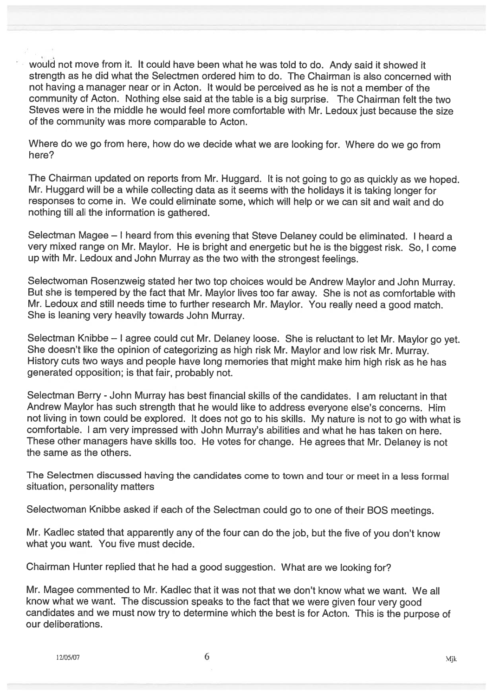wouid not move from it. It could have been what he was told to do. Andy said it showed it strength as he did what the Selectmen ordered him to do. The Chairman is also concerned with not having <sup>a</sup> manager near or in Acton. It would be perceived as he is not <sup>a</sup> member of the community of Acton. Nothing else said at the table is <sup>a</sup> big surprise. The Chairman felt the two Steves were in the middle he would feel more comfortable with Mr. Ledoux just because the size of the community was more comparable to Acton.

Where do we go from here, how do we decide what we are looking for. Where do we go from here?

The Chairman updated on reports from Mr. Huggard. It is not going to go as quickly as we hoped. Mr. Huggard will be <sup>a</sup> while collecting data as it seems with the holidays it is taking longer for responses to come in. We could eliminate some, which will help or we can sit and wait and do nothing till all the information is gathered.

Selectman Magee — <sup>I</sup> heard from this evening that Steve Delaney could be eliminated. <sup>I</sup> heard <sup>a</sup> very mixed range on Mr. Maylor. He is bright and energetic but he is the biggest risk. So, <sup>I</sup> come up with Mr. Ledoux and John Murray as the two with the strongest feelings.

Selectwoman Rosenzweig stated her two top choices would be Andrew Maylor and John Murray. But she is tempered by the fact that Mr. Maylor lives too far away. She is not as comfortable with Mr. Ledoux and still needs time to further research Mr. Maylor. You really need <sup>a</sup> goo<sup>d</sup> match. She is leaning very heavily towards John Murray.

Selectman Knibbe — <sup>I</sup> agree could cut Mr. Delaney loose. She is reluctant to let Mr. Maylor go yet. She doesn't like the opinion of categorizing as high risk Mr. Maylor and low risk Mr. Murray. History cuts two ways and people have long memories that might make him high risk as he has generated opposition; is that fair, probably not.

Selectman Berry - John Murray has best financial skills of the candidates. I am reluctant in that Andrew Maylor has such strength that he would like to address everyone else's concerns. Him not living in town could be explored. It does not go to his skills. My nature is not to go with what is comfortable. <sup>I</sup> am very impressed with John Murray's abilities and what he has taken on here. These other managers have skills too. He votes for change. He agrees that Mr. Delaney is not the same as the others.

The Selectmen discussed having the candidates come to town and tour or meet in <sup>a</sup> less formal situation, personality matters

Selectwoman Knibbe asked if each of the Selectman could go to one of their BOS meetings.

Mr. Kadlec stated that apparently any of the four can do the job, but the five of you don't know what you want. You five must decide.

Chairman Hunter replied that he had <sup>a</sup> goo<sup>d</sup> suggestion. What are we looking for?

Mr. Magee commented to Mr. Kadlec that it was not that we don't know what we want. We all know what we want. The discussion speaks to the fact that we were <sup>g</sup>iven four very goo<sup>d</sup> candidates and we must now try to determine which the best is for Acton. This is the purpose of our deliberations.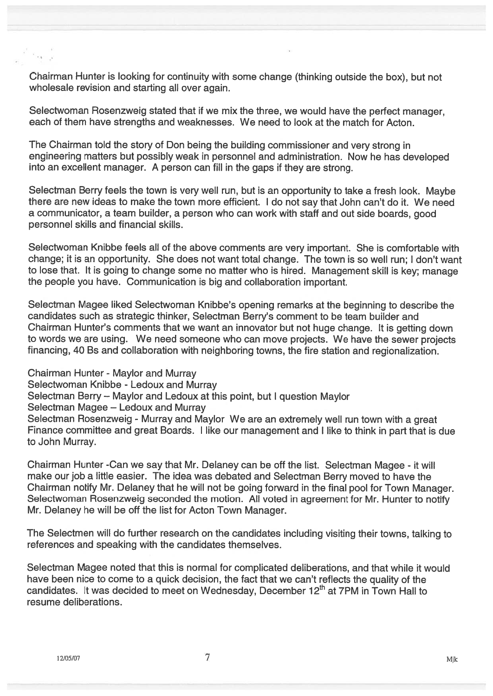Chairman Hunter is looking for continuity with some change (thinking outside the box), but not wholesale revision and starting all over again.

Selectwoman Rosenzweig stated that if we mix the three, we would have the perfect manager, each of them have strengths and weaknesses. We need to look at the match for Acton.

The Chairman told the story of Don being the building commissioner and very strong in engineering matters but possibly weak in personne<sup>l</sup> and administration. Now he has developed into an excellent manager. A person can fill in the gaps if they are strong.

Selectman Berry feels the town is very well run, but is an opportunity to take <sup>a</sup> fresh look. Maybe there are new ideas to make the town more efficient. <sup>I</sup> do not say that John can't do it. We need <sup>a</sup> communicator, <sup>a</sup> team builder, <sup>a</sup> person who can work with staff and out side boards, goo<sup>d</sup> personnel skills and financial skills.

Selectwoman Knibbe feels all of the above comments are very important. She is comfortable with change; it is an opportunity. She does not want total change. The town is so well run; <sup>I</sup> don't want to lose that. It is going to change some no matter who is hired. Management skill is key; manage the people you have. Communication is big and collaboration important.

Selectman Magee liked Selectwoman Knibbe's opening remarks at the beginning to describe the candidates such as strategic thinker, Selectman Berry's comment to be team builder and Chairman Hunter's comments that we want an innovator but not huge change. It is getting down to words we are using. We need someone who can move projects. We have the sewer projects financing, 40 Bs and collaboration with neighboring towns, the fire station and regionalization.

Chairman Hunter - Maylor and Murray Selectwoman Knibbe - Ledoux and Murray Selectman Berry — Maylor and Ledoux at this point, but <sup>I</sup> question Maylor Selectman Magee — Ledoux and Murray Selectman Rosenzweig - Murray and Maylor We are an extremely well run town with <sup>a</sup> grea<sup>t</sup> Finance committee and grea<sup>t</sup> Boards. <sup>I</sup> like our managemen<sup>t</sup> and <sup>I</sup> like to think in par<sup>t</sup> that is due to John Murray.

Chairman Hunter -Can we say that Mr. Delaney can be off the list. Selectman Magee - it will make our job <sup>a</sup> little easier. The idea was debated and Selectman Berry moved to have the Chairman notify Mr. Delaney that he will not be going forward in the final poo<sup>l</sup> for Town Manager. Selectwoman Rosenzweig seconded the motion. All voted in agreemen<sup>t</sup> for Mr. Hunter to notify Mr. Delaney he will be off the list for Acton Town Manager.

The Selectmen will do further research on the candidates including visiting their towns, talking to references and speaking with the candidates themselves.

Selectman Magee noted that this is normal for complicated deliberations, and that while it would have been nice to come to <sup>a</sup> quick decision, the fact that we can't reflects the quality of the candidates. It was decided to meet on Wednesday, December  $12<sup>th</sup>$  at 7PM in Town Hall to resume deliberations.